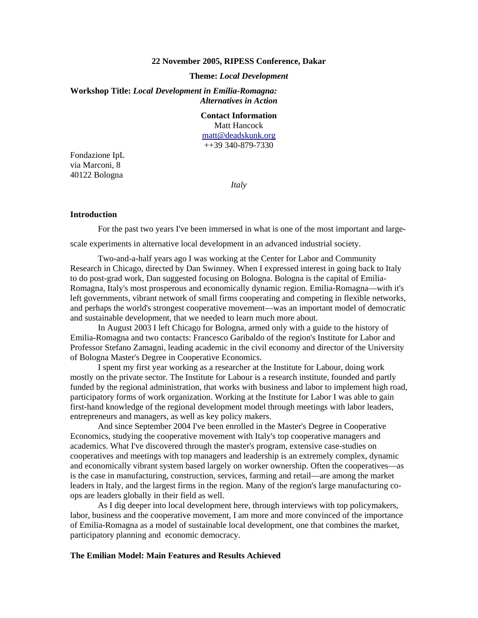#### **22 November 2005, RIPESS Conference, Dakar**

### **Theme:** *Local Development*

**Workshop Title:** *Local Development in Emilia-Romagna: Alternatives in Action* 

# **Contact Information**

Matt Hancock matt@deadskunk.org ++39 340-879-7330

Fondazione IpL via Marconi, 8 40122 Bologna

*Italy* 

### **Introduction**

For the past two years I've been immersed in what is one of the most important and large-

scale experiments in alternative local development in an advanced industrial society.

 Two-and-a-half years ago I was working at the Center for Labor and Community Research in Chicago, directed by Dan Swinney. When I expressed interest in going back to Italy to do post-grad work, Dan suggested focusing on Bologna. Bologna is the capital of Emilia-Romagna, Italy's most prosperous and economically dynamic region. Emilia-Romagna—with it's left governments, vibrant network of small firms cooperating and competing in flexible networks, and perhaps the world's strongest cooperative movement—was an important model of democratic and sustainable development, that we needed to learn much more about.

 In August 2003 I left Chicago for Bologna, armed only with a guide to the history of Emilia-Romagna and two contacts: Francesco Garibaldo of the region's Institute for Labor and Professor Stefano Zamagni, leading academic in the civil economy and director of the University of Bologna Master's Degree in Cooperative Economics.

 I spent my first year working as a researcher at the Institute for Labour, doing work mostly on the private sector. The Institute for Labour is a research institute, founded and partly funded by the regional administration, that works with business and labor to implement high road, participatory forms of work organization. Working at the Institute for Labor I was able to gain first-hand knowledge of the regional development model through meetings with labor leaders, entrepreneurs and managers, as well as key policy makers.

 And since September 2004 I've been enrolled in the Master's Degree in Cooperative Economics, studying the cooperative movement with Italy's top cooperative managers and academics. What I've discovered through the master's program, extensive case-studies on cooperatives and meetings with top managers and leadership is an extremely complex, dynamic and economically vibrant system based largely on worker ownership. Often the cooperatives—as is the case in manufacturing, construction, services, farming and retail—are among the market leaders in Italy, and the largest firms in the region. Many of the region's large manufacturing coops are leaders globally in their field as well.

 As I dig deeper into local development here, through interviews with top policymakers, labor, business and the cooperative movement, I am more and more convinced of the importance of Emilia-Romagna as a model of sustainable local development, one that combines the market, participatory planning and economic democracy.

## **The Emilian Model: Main Features and Results Achieved**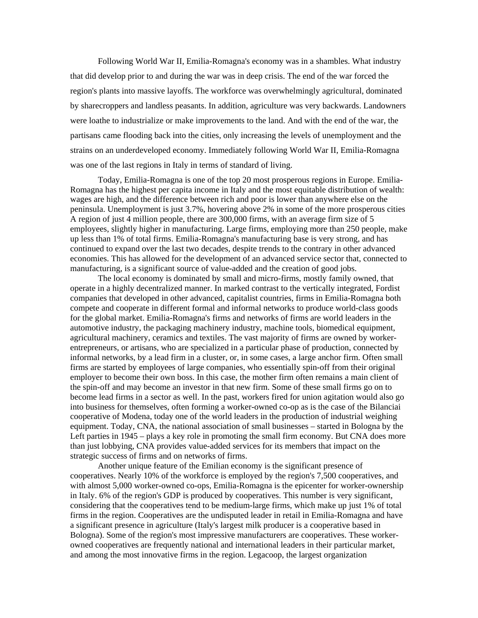Following World War II, Emilia-Romagna's economy was in a shambles. What industry that did develop prior to and during the war was in deep crisis. The end of the war forced the region's plants into massive layoffs. The workforce was overwhelmingly agricultural, dominated by sharecroppers and landless peasants. In addition, agriculture was very backwards. Landowners were loathe to industrialize or make improvements to the land. And with the end of the war, the partisans came flooding back into the cities, only increasing the levels of unemployment and the strains on an underdeveloped economy. Immediately following World War II, Emilia-Romagna was one of the last regions in Italy in terms of standard of living.

 Today, Emilia-Romagna is one of the top 20 most prosperous regions in Europe. Emilia-Romagna has the highest per capita income in Italy and the most equitable distribution of wealth: wages are high, and the difference between rich and poor is lower than anywhere else on the peninsula. Unemployment is just 3.7%, hovering above 2% in some of the more prosperous cities A region of just 4 million people, there are 300,000 firms, with an average firm size of 5 employees, slightly higher in manufacturing. Large firms, employing more than 250 people, make up less than 1% of total firms. Emilia-Romagna's manufacturing base is very strong, and has continued to expand over the last two decades, despite trends to the contrary in other advanced economies. This has allowed for the development of an advanced service sector that, connected to manufacturing, is a significant source of value-added and the creation of good jobs.

 The local economy is dominated by small and micro-firms, mostly family owned, that operate in a highly decentralized manner. In marked contrast to the vertically integrated, Fordist companies that developed in other advanced, capitalist countries, firms in Emilia-Romagna both compete and cooperate in different formal and informal networks to produce world-class goods for the global market. Emilia-Romagna's firms and networks of firms are world leaders in the automotive industry, the packaging machinery industry, machine tools, biomedical equipment, agricultural machinery, ceramics and textiles. The vast majority of firms are owned by workerentrepreneurs, or artisans, who are specialized in a particular phase of production, connected by informal networks, by a lead firm in a cluster, or, in some cases, a large anchor firm. Often small firms are started by employees of large companies, who essentially spin-off from their original employer to become their own boss. In this case, the mother firm often remains a main client of the spin-off and may become an investor in that new firm. Some of these small firms go on to become lead firms in a sector as well. In the past, workers fired for union agitation would also go into business for themselves, often forming a worker-owned co-op as is the case of the Bilanciai cooperative of Modena, today one of the world leaders in the production of industrial weighing equipment. Today, CNA, the national association of small businesses – started in Bologna by the Left parties in 1945 – plays a key role in promoting the small firm economy. But CNA does more than just lobbying, CNA provides value-added services for its members that impact on the strategic success of firms and on networks of firms.

 Another unique feature of the Emilian economy is the significant presence of cooperatives. Nearly 10% of the workforce is employed by the region's 7,500 cooperatives, and with almost 5,000 worker-owned co-ops, Emilia-Romagna is the epicenter for worker-ownership in Italy. 6% of the region's GDP is produced by cooperatives. This number is very significant, considering that the cooperatives tend to be medium-large firms, which make up just 1% of total firms in the region. Cooperatives are the undisputed leader in retail in Emilia-Romagna and have a significant presence in agriculture (Italy's largest milk producer is a cooperative based in Bologna). Some of the region's most impressive manufacturers are cooperatives. These workerowned cooperatives are frequently national and international leaders in their particular market, and among the most innovative firms in the region. Legacoop, the largest organization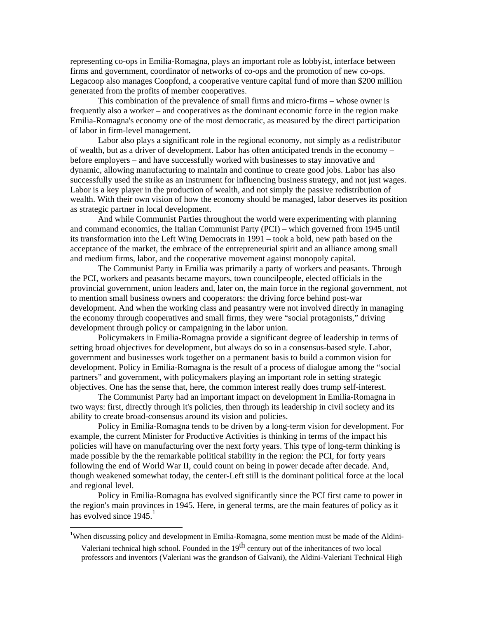representing co-ops in Emilia-Romagna, plays an important role as lobbyist, interface between firms and government, coordinator of networks of co-ops and the promotion of new co-ops. Legacoop also manages Coopfond, a cooperative venture capital fund of more than \$200 million generated from the profits of member cooperatives.

 This combination of the prevalence of small firms and micro-firms – whose owner is frequently also a worker – and cooperatives as the dominant economic force in the region make Emilia-Romagna's economy one of the most democratic, as measured by the direct participation of labor in firm-level management.

 Labor also plays a significant role in the regional economy, not simply as a redistributor of wealth, but as a driver of development. Labor has often anticipated trends in the economy – before employers – and have successfully worked with businesses to stay innovative and dynamic, allowing manufacturing to maintain and continue to create good jobs. Labor has also successfully used the strike as an instrument for influencing business strategy, and not just wages. Labor is a key player in the production of wealth, and not simply the passive redistribution of wealth. With their own vision of how the economy should be managed, labor deserves its position as strategic partner in local development.

 And while Communist Parties throughout the world were experimenting with planning and command economics, the Italian Communist Party (PCI) – which governed from 1945 until its transformation into the Left Wing Democrats in 1991 – took a bold, new path based on the acceptance of the market, the embrace of the entrepreneurial spirit and an alliance among small and medium firms, labor, and the cooperative movement against monopoly capital.

 The Communist Party in Emilia was primarily a party of workers and peasants. Through the PCI, workers and peasants became mayors, town councilpeople, elected officials in the provincial government, union leaders and, later on, the main force in the regional government, not to mention small business owners and cooperators: the driving force behind post-war development. And when the working class and peasantry were not involved directly in managing the economy through cooperatives and small firms, they were "social protagonists," driving development through policy or campaigning in the labor union.

 Policymakers in Emilia-Romagna provide a significant degree of leadership in terms of setting broad objectives for development, but always do so in a consensus-based style. Labor, government and businesses work together on a permanent basis to build a common vision for development. Policy in Emilia-Romagna is the result of a process of dialogue among the "social partners" and government, with policymakers playing an important role in setting strategic objectives. One has the sense that, here, the common interest really does trump self-interest.

 The Communist Party had an important impact on development in Emilia-Romagna in two ways: first, directly through it's policies, then through its leadership in civil society and its ability to create broad-consensus around its vision and policies.

 Policy in Emilia-Romagna tends to be driven by a long-term vision for development. For example, the current Minister for Productive Activities is thinking in terms of the impact his policies will have on manufacturing over the next forty years. This type of long-term thinking is made possible by the the remarkable political stability in the region: the PCI, for forty years following the end of World War II, could count on being in power decade after decade. And, though weakened somewhat today, the center-Left still is the dominant political force at the local and regional level.

 Policy in Emilia-Romagna has evolved significantly since the PCI first came to power in the region's main provinces in 1945. Here, in general terms, are the main features of policy as it has evolved since  $1945<sup>1</sup>$ 

<u>.</u>

<sup>&</sup>lt;sup>1</sup>When discussing policy and development in Emilia-Romagna, some mention must be made of the Aldini-

Valeriani technical high school. Founded in the  $19<sup>th</sup>$  century out of the inheritances of two local professors and inventors (Valeriani was the grandson of Galvani), the Aldini-Valeriani Technical High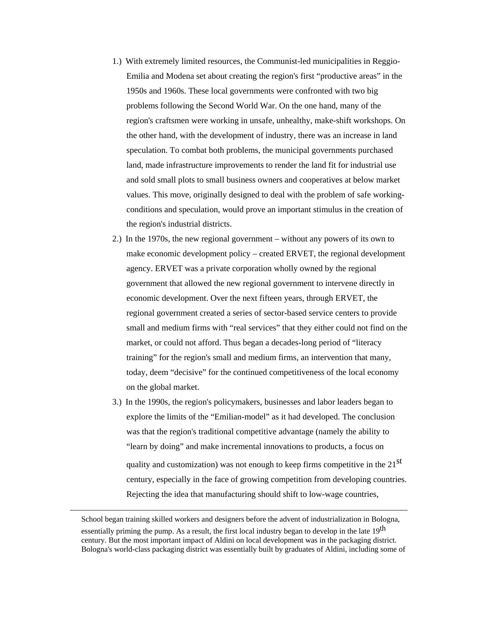- 1.) With extremely limited resources, the Communist-led municipalities in Reggio-Emilia and Modena set about creating the region's first "productive areas" in the 1950s and 1960s. These local governments were confronted with two big problems following the Second World War. On the one hand, many of the region's craftsmen were working in unsafe, unhealthy, make-shift workshops. On the other hand, with the development of industry, there was an increase in land speculation. To combat both problems, the municipal governments purchased land, made infrastructure improvements to render the land fit for industrial use and sold small plots to small business owners and cooperatives at below market values. This move, originally designed to deal with the problem of safe workingconditions and speculation, would prove an important stimulus in the creation of the region's industrial districts.
- 2.) In the 1970s, the new regional government without any powers of its own to make economic development policy – created ERVET, the regional development agency. ERVET was a private corporation wholly owned by the regional government that allowed the new regional government to intervene directly in economic development. Over the next fifteen years, through ERVET, the regional government created a series of sector-based service centers to provide small and medium firms with "real services" that they either could not find on the market, or could not afford. Thus began a decades-long period of "literacy training" for the region's small and medium firms, an intervention that many, today, deem "decisive" for the continued competitiveness of the local economy on the global market.
- 3.) In the 1990s, the region's policymakers, businesses and labor leaders began to explore the limits of the "Emilian-model" as it had developed. The conclusion was that the region's traditional competitive advantage (namely the ability to "learn by doing" and make incremental innovations to products, a focus on quality and customization) was not enough to keep firms competitive in the  $21<sup>st</sup>$ century, especially in the face of growing competition from developing countries. Rejecting the idea that manufacturing should shift to low-wage countries,

School began training skilled workers and designers before the advent of industrialization in Bologna, essentially priming the pump. As a result, the first local industry began to develop in the late 19<sup>th</sup> century. But the most important impact of Aldini on local development was in the packaging district. Bologna's world-class packaging district was essentially built by graduates of Aldini, including some of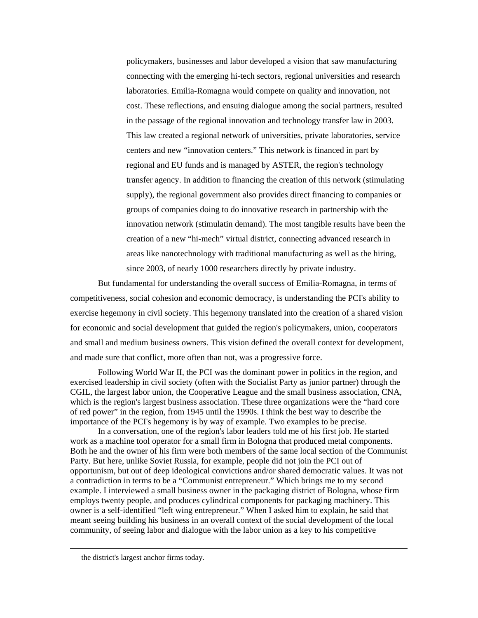policymakers, businesses and labor developed a vision that saw manufacturing connecting with the emerging hi-tech sectors, regional universities and research laboratories. Emilia-Romagna would compete on quality and innovation, not cost. These reflections, and ensuing dialogue among the social partners, resulted in the passage of the regional innovation and technology transfer law in 2003. This law created a regional network of universities, private laboratories, service centers and new "innovation centers." This network is financed in part by regional and EU funds and is managed by ASTER, the region's technology transfer agency. In addition to financing the creation of this network (stimulating supply), the regional government also provides direct financing to companies or groups of companies doing to do innovative research in partnership with the innovation network (stimulatin demand). The most tangible results have been the creation of a new "hi-mech" virtual district, connecting advanced research in areas like nanotechnology with traditional manufacturing as well as the hiring, since 2003, of nearly 1000 researchers directly by private industry.

 But fundamental for understanding the overall success of Emilia-Romagna, in terms of competitiveness, social cohesion and economic democracy, is understanding the PCI's ability to exercise hegemony in civil society. This hegemony translated into the creation of a shared vision for economic and social development that guided the region's policymakers, union, cooperators and small and medium business owners. This vision defined the overall context for development, and made sure that conflict, more often than not, was a progressive force.

 Following World War II, the PCI was the dominant power in politics in the region, and exercised leadership in civil society (often with the Socialist Party as junior partner) through the CGIL, the largest labor union, the Cooperative League and the small business association, CNA, which is the region's largest business association. These three organizations were the "hard core of red power" in the region, from 1945 until the 1990s. I think the best way to describe the importance of the PCI's hegemony is by way of example. Two examples to be precise.

 In a conversation, one of the region's labor leaders told me of his first job. He started work as a machine tool operator for a small firm in Bologna that produced metal components. Both he and the owner of his firm were both members of the same local section of the Communist Party. But here, unlike Soviet Russia, for example, people did not join the PCI out of opportunism, but out of deep ideological convictions and/or shared democratic values. It was not a contradiction in terms to be a "Communist entrepreneur." Which brings me to my second example. I interviewed a small business owner in the packaging district of Bologna, whose firm employs twenty people, and produces cylindrical components for packaging machinery. This owner is a self-identified "left wing entrepreneur." When I asked him to explain, he said that meant seeing building his business in an overall context of the social development of the local community, of seeing labor and dialogue with the labor union as a key to his competitive

the district's largest anchor firms today.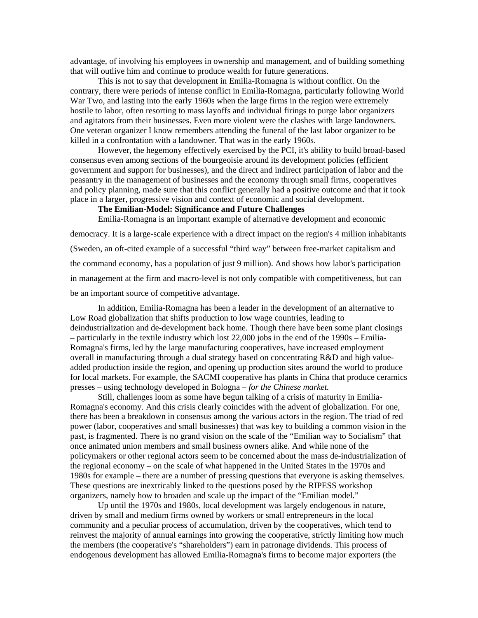advantage, of involving his employees in ownership and management, and of building something that will outlive him and continue to produce wealth for future generations.

 This is not to say that development in Emilia-Romagna is without conflict. On the contrary, there were periods of intense conflict in Emilia-Romagna, particularly following World War Two, and lasting into the early 1960s when the large firms in the region were extremely hostile to labor, often resorting to mass layoffs and individual firings to purge labor organizers and agitators from their businesses. Even more violent were the clashes with large landowners. One veteran organizer I know remembers attending the funeral of the last labor organizer to be killed in a confrontation with a landowner. That was in the early 1960s.

 However, the hegemony effectively exercised by the PCI, it's ability to build broad-based consensus even among sections of the bourgeoisie around its development policies (efficient government and support for businesses), and the direct and indirect participation of labor and the peasantry in the management of businesses and the economy through small firms, cooperatives and policy planning, made sure that this conflict generally had a positive outcome and that it took place in a larger, progressive vision and context of economic and social development.

### **The Emilian-Model: Significance and Future Challenges**

Emilia-Romagna is an important example of alternative development and economic

democracy. It is a large-scale experience with a direct impact on the region's 4 million inhabitants (Sweden, an oft-cited example of a successful "third way" between free-market capitalism and the command economy, has a population of just 9 million). And shows how labor's participation in management at the firm and macro-level is not only compatible with competitiveness, but can be an important source of competitive advantage.

 In addition, Emilia-Romagna has been a leader in the development of an alternative to Low Road globalization that shifts production to low wage countries, leading to deindustrialization and de-development back home. Though there have been some plant closings – particularly in the textile industry which lost 22,000 jobs in the end of the 1990s – Emilia-Romagna's firms, led by the large manufacturing cooperatives, have increased employment overall in manufacturing through a dual strategy based on concentrating R&D and high valueadded production inside the region, and opening up production sites around the world to produce for local markets. For example, the SACMI cooperative has plants in China that produce ceramics presses – using technology developed in Bologna – *for the Chinese market.*

 Still, challenges loom as some have begun talking of a crisis of maturity in Emilia-Romagna's economy. And this crisis clearly coincides with the advent of globalization. For one, there has been a breakdown in consensus among the various actors in the region. The triad of red power (labor, cooperatives and small businesses) that was key to building a common vision in the past, is fragmented. There is no grand vision on the scale of the "Emilian way to Socialism" that once animated union members and small business owners alike. And while none of the policymakers or other regional actors seem to be concerned about the mass de-industrialization of the regional economy – on the scale of what happened in the United States in the 1970s and 1980s for example – there are a number of pressing questions that everyone is asking themselves. These questions are inextricably linked to the questions posed by the RIPESS workshop organizers, namely how to broaden and scale up the impact of the "Emilian model."

 Up until the 1970s and 1980s, local development was largely endogenous in nature, driven by small and medium firms owned by workers or small entrepreneurs in the local community and a peculiar process of accumulation, driven by the cooperatives, which tend to reinvest the majority of annual earnings into growing the cooperative, strictly limiting how much the members (the cooperative's "shareholders") earn in patronage dividends. This process of endogenous development has allowed Emilia-Romagna's firms to become major exporters (the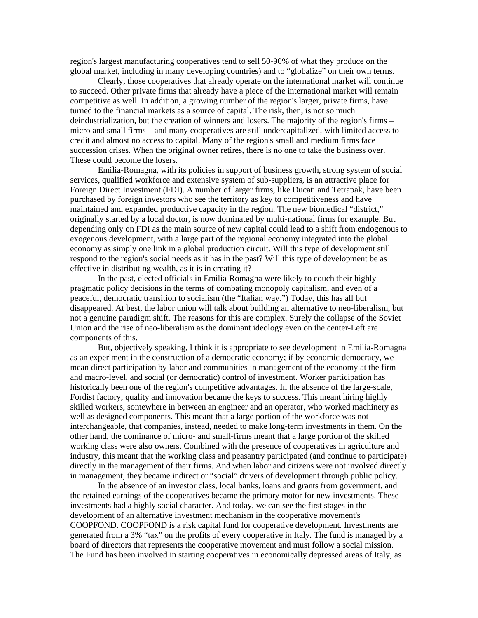region's largest manufacturing cooperatives tend to sell 50-90% of what they produce on the global market, including in many developing countries) and to "globalize" on their own terms.

 Clearly, those cooperatives that already operate on the international market will continue to succeed. Other private firms that already have a piece of the international market will remain competitive as well. In addition, a growing number of the region's larger, private firms, have turned to the financial markets as a source of capital. The risk, then, is not so much deindustrialization, but the creation of winners and losers. The majority of the region's firms – micro and small firms – and many cooperatives are still undercapitalized, with limited access to credit and almost no access to capital. Many of the region's small and medium firms face succession crises. When the original owner retires, there is no one to take the business over. These could become the losers.

 Emilia-Romagna, with its policies in support of business growth, strong system of social services, qualified workforce and extensive system of sub-suppliers, is an attractive place for Foreign Direct Investment (FDI). A number of larger firms, like Ducati and Tetrapak, have been purchased by foreign investors who see the territory as key to competitiveness and have maintained and expanded productive capacity in the region. The new biomedical "district," originally started by a local doctor, is now dominated by multi-national firms for example. But depending only on FDI as the main source of new capital could lead to a shift from endogenous to exogenous development, with a large part of the regional economy integrated into the global economy as simply one link in a global production circuit. Will this type of development still respond to the region's social needs as it has in the past? Will this type of development be as effective in distributing wealth, as it is in creating it?

 In the past, elected officials in Emilia-Romagna were likely to couch their highly pragmatic policy decisions in the terms of combating monopoly capitalism, and even of a peaceful, democratic transition to socialism (the "Italian way.") Today, this has all but disappeared. At best, the labor union will talk about building an alternative to neo-liberalism, but not a genuine paradigm shift. The reasons for this are complex. Surely the collapse of the Soviet Union and the rise of neo-liberalism as the dominant ideology even on the center-Left are components of this.

 But, objectively speaking, I think it is appropriate to see development in Emilia-Romagna as an experiment in the construction of a democratic economy; if by economic democracy, we mean direct participation by labor and communities in management of the economy at the firm and macro-level, and social (or democratic) control of investment. Worker participation has historically been one of the region's competitive advantages. In the absence of the large-scale, Fordist factory, quality and innovation became the keys to success. This meant hiring highly skilled workers, somewhere in between an engineer and an operator, who worked machinery as well as designed components. This meant that a large portion of the workforce was not interchangeable, that companies, instead, needed to make long-term investments in them. On the other hand, the dominance of micro- and small-firms meant that a large portion of the skilled working class were also owners. Combined with the presence of cooperatives in agriculture and industry, this meant that the working class and peasantry participated (and continue to participate) directly in the management of their firms. And when labor and citizens were not involved directly in management, they became indirect or "social" drivers of development through public policy.

 In the absence of an investor class, local banks, loans and grants from government, and the retained earnings of the cooperatives became the primary motor for new investments. These investments had a highly social character. And today, we can see the first stages in the development of an alternative investment mechanism in the cooperative movement's COOPFOND. COOPFOND is a risk capital fund for cooperative development. Investments are generated from a 3% "tax" on the profits of every cooperative in Italy. The fund is managed by a board of directors that represents the cooperative movement and must follow a social mission. The Fund has been involved in starting cooperatives in economically depressed areas of Italy, as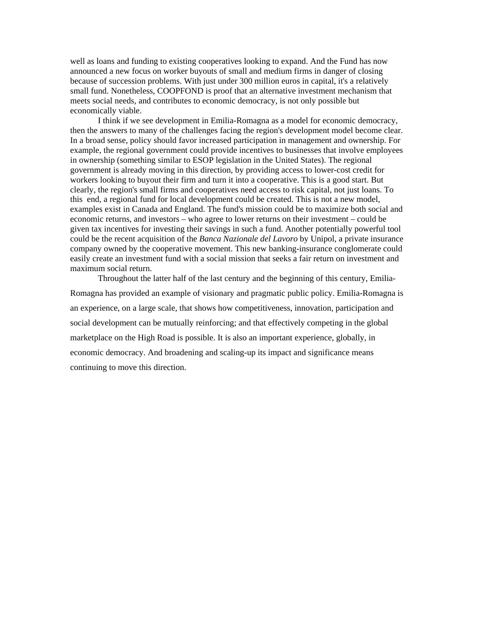well as loans and funding to existing cooperatives looking to expand. And the Fund has now announced a new focus on worker buyouts of small and medium firms in danger of closing because of succession problems. With just under 300 million euros in capital, it's a relatively small fund. Nonetheless, COOPFOND is proof that an alternative investment mechanism that meets social needs, and contributes to economic democracy, is not only possible but economically viable.

 I think if we see development in Emilia-Romagna as a model for economic democracy, then the answers to many of the challenges facing the region's development model become clear. In a broad sense, policy should favor increased participation in management and ownership. For example, the regional government could provide incentives to businesses that involve employees in ownership (something similar to ESOP legislation in the United States). The regional government is already moving in this direction, by providing access to lower-cost credit for workers looking to buyout their firm and turn it into a cooperative. This is a good start. But clearly, the region's small firms and cooperatives need access to risk capital, not just loans. To this end, a regional fund for local development could be created. This is not a new model, examples exist in Canada and England. The fund's mission could be to maximize both social and economic returns, and investors – who agree to lower returns on their investment – could be given tax incentives for investing their savings in such a fund. Another potentially powerful tool could be the recent acquisition of the *Banca Nazionale del Lavoro* by Unipol, a private insurance company owned by the cooperative movement. This new banking-insurance conglomerate could easily create an investment fund with a social mission that seeks a fair return on investment and maximum social return.

 Throughout the latter half of the last century and the beginning of this century, Emilia-Romagna has provided an example of visionary and pragmatic public policy. Emilia-Romagna is an experience, on a large scale, that shows how competitiveness, innovation, participation and social development can be mutually reinforcing; and that effectively competing in the global marketplace on the High Road is possible. It is also an important experience, globally, in economic democracy. And broadening and scaling-up its impact and significance means continuing to move this direction.